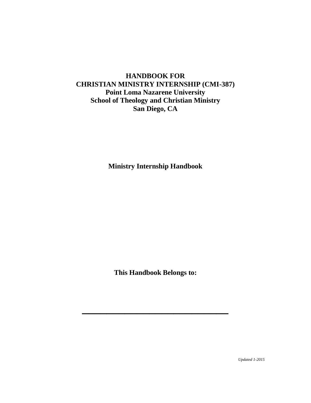# **HANDBOOK FOR CHRISTIAN MINISTRY INTERNSHIP (CMI-387) Point Loma Nazarene University School of Theology and Christian Ministry San Diego, CA**

**Ministry Internship Handbook**

**This Handbook Belongs to:**

**\_\_\_\_\_\_\_\_\_\_\_\_\_\_\_\_\_\_\_\_\_\_\_\_**

 *Updated 1-2015*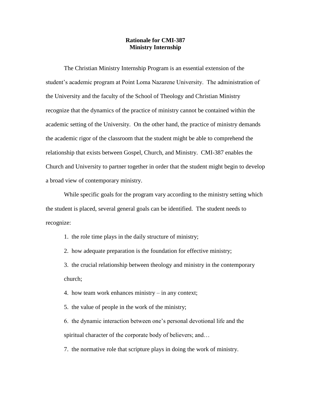#### **Rationale for CMI-387 Ministry Internship**

The Christian Ministry Internship Program is an essential extension of the student's academic program at Point Loma Nazarene University. The administration of the University and the faculty of the School of Theology and Christian Ministry recognize that the dynamics of the practice of ministry cannot be contained within the academic setting of the University. On the other hand, the practice of ministry demands the academic rigor of the classroom that the student might be able to comprehend the relationship that exists between Gospel, Church, and Ministry. CMI-387 enables the Church and University to partner together in order that the student might begin to develop a broad view of contemporary ministry.

While specific goals for the program vary according to the ministry setting which the student is placed, several general goals can be identified. The student needs to recognize:

1. the role time plays in the daily structure of ministry;

2. how adequate preparation is the foundation for effective ministry;

3. the crucial relationship between theology and ministry in the contemporary church;

4. how team work enhances ministry – in any context;

5. the value of people in the work of the ministry;

6. the dynamic interaction between one's personal devotional life and the spiritual character of the corporate body of believers; and...

7. the normative role that scripture plays in doing the work of ministry.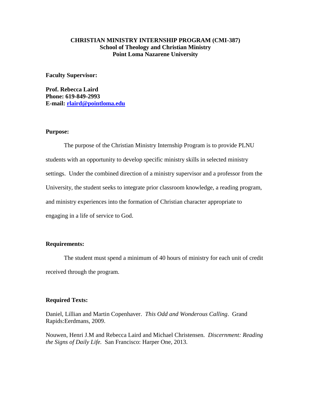## **CHRISTIAN MINISTRY INTERNSHIP PROGRAM (CMI-387) School of Theology and Christian Ministry Point Loma Nazarene University**

**Faculty Supervisor:** 

**Prof. Rebecca Laird Phone: 619-849-2993 E-mail: [rlaird@pointloma.edu](mailto:rlaird@pointloma.edu)**

#### **Purpose:**

The purpose of the Christian Ministry Internship Program is to provide PLNU students with an opportunity to develop specific ministry skills in selected ministry settings. Under the combined direction of a ministry supervisor and a professor from the University, the student seeks to integrate prior classroom knowledge, a reading program, and ministry experiences into the formation of Christian character appropriate to engaging in a life of service to God.

### **Requirements:**

The student must spend a minimum of 40 hours of ministry for each unit of credit received through the program.

#### **Required Texts:**

Daniel, Lillian and Martin Copenhaver. *This Odd and Wonderous Calling*. Grand Rapids:Eerdmans, 2009.

Nouwen, Henri J.M and Rebecca Laird and Michael Christensen. *Discernment: Reading the Signs of Daily Life.* San Francisco: Harper One, 2013.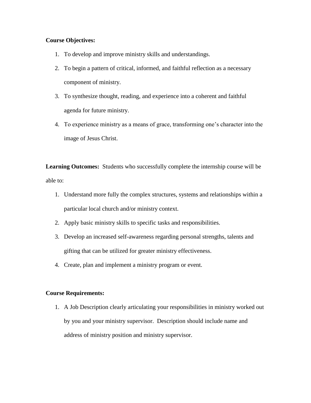## **Course Objectives:**

- 1. To develop and improve ministry skills and understandings.
- 2. To begin a pattern of critical, informed, and faithful reflection as a necessary component of ministry.
- 3. To synthesize thought, reading, and experience into a coherent and faithful agenda for future ministry.
- 4. To experience ministry as a means of grace, transforming one's character into the image of Jesus Christ.

**Learning Outcomes:** Students who successfully complete the internship course will be able to:

- 1. Understand more fully the complex structures, systems and relationships within a particular local church and/or ministry context.
- 2. Apply basic ministry skills to specific tasks and responsibilities.
- 3. Develop an increased self-awareness regarding personal strengths, talents and gifting that can be utilized for greater ministry effectiveness.
- 4. Create, plan and implement a ministry program or event.

## **Course Requirements:**

1. A Job Description clearly articulating your responsibilities in ministry worked out by you and your ministry supervisor. Description should include name and address of ministry position and ministry supervisor.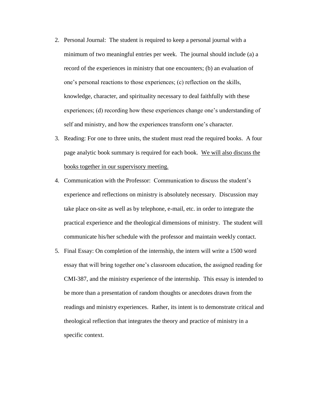- 2. Personal Journal: The student is required to keep a personal journal with a minimum of two meaningful entries per week. The journal should include (a) a record of the experiences in ministry that one encounters; (b) an evaluation of one's personal reactions to those experiences; (c) reflection on the skills, knowledge, character, and spirituality necessary to deal faithfully with these experiences; (d) recording how these experiences change one's understanding of self and ministry, and how the experiences transform one's character.
- 3. Reading: For one to three units, the student must read the required books. A four page analytic book summary is required for each book. We will also discuss the books together in our supervisory meeting.
- 4. Communication with the Professor: Communication to discuss the student's experience and reflections on ministry is absolutely necessary. Discussion may take place on-site as well as by telephone, e-mail, etc. in order to integrate the practical experience and the theological dimensions of ministry. The student will communicate his/her schedule with the professor and maintain weekly contact.
- 5. Final Essay: On completion of the internship, the intern will write a 1500 word essay that will bring together one's classroom education, the assigned reading for CMI-387, and the ministry experience of the internship. This essay is intended to be more than a presentation of random thoughts or anecdotes drawn from the readings and ministry experiences. Rather, its intent is to demonstrate critical and theological reflection that integrates the theory and practice of ministry in a specific context.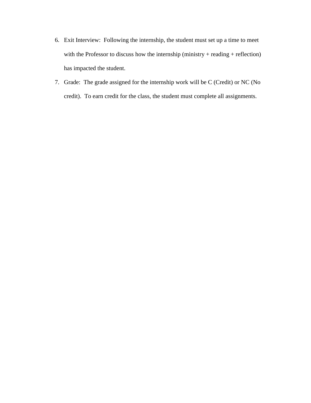- 6. Exit Interview: Following the internship, the student must set up a time to meet with the Professor to discuss how the internship (ministry + reading + reflection) has impacted the student.
- 7. Grade: The grade assigned for the internship work will be C (Credit) or NC (No credit). To earn credit for the class, the student must complete all assignments.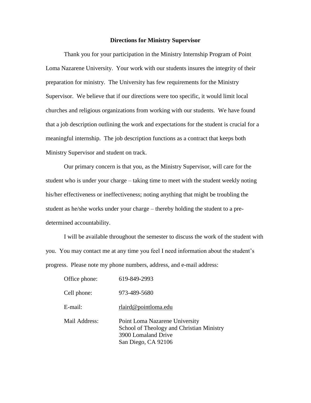#### **Directions for Ministry Supervisor**

Thank you for your participation in the Ministry Internship Program of Point Loma Nazarene University. Your work with our students insures the integrity of their preparation for ministry. The University has few requirements for the Ministry Supervisor. We believe that if our directions were too specific, it would limit local churches and religious organizations from working with our students. We have found that a job description outlining the work and expectations for the student is crucial for a meaningful internship. The job description functions as a contract that keeps both Ministry Supervisor and student on track.

Our primary concern is that you, as the Ministry Supervisor, will care for the student who is under your charge – taking time to meet with the student weekly noting his/her effectiveness or ineffectiveness; noting anything that might be troubling the student as he/she works under your charge – thereby holding the student to a predetermined accountability.

I will be available throughout the semester to discuss the work of the student with you. You may contact me at any time you feel I need information about the student's progress. Please note my phone numbers, address, and e-mail address:

| Office phone: | 619-849-2993                                                                                                              |  |
|---------------|---------------------------------------------------------------------------------------------------------------------------|--|
| Cell phone:   | 973-489-5680                                                                                                              |  |
| E-mail:       | rlaird@pointloma.edu                                                                                                      |  |
| Mail Address: | Point Loma Nazarene University<br>School of Theology and Christian Ministry<br>3900 Lomaland Drive<br>San Diego, CA 92106 |  |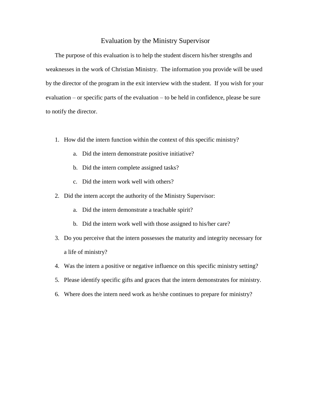### Evaluation by the Ministry Supervisor

The purpose of this evaluation is to help the student discern his/her strengths and weaknesses in the work of Christian Ministry. The information you provide will be used by the director of the program in the exit interview with the student. If you wish for your evaluation – or specific parts of the evaluation – to be held in confidence, please be sure to notify the director.

- 1. How did the intern function within the context of this specific ministry?
	- a. Did the intern demonstrate positive initiative?
	- b. Did the intern complete assigned tasks?
	- c. Did the intern work well with others?
- 2. Did the intern accept the authority of the Ministry Supervisor:
	- a. Did the intern demonstrate a teachable spirit?
	- b. Did the intern work well with those assigned to his/her care?
- 3. Do you perceive that the intern possesses the maturity and integrity necessary for a life of ministry?
- 4. Was the intern a positive or negative influence on this specific ministry setting?
- 5. Please identify specific gifts and graces that the intern demonstrates for ministry.
- 6. Where does the intern need work as he/she continues to prepare for ministry?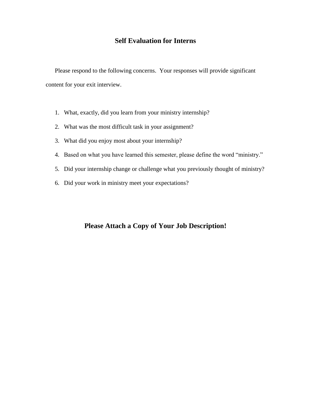## **Self Evaluation for Interns**

Please respond to the following concerns. Your responses will provide significant content for your exit interview.

- 1. What, exactly, did you learn from your ministry internship?
- 2. What was the most difficult task in your assignment?
- 3. What did you enjoy most about your internship?
- 4. Based on what you have learned this semester, please define the word "ministry."
- 5. Did your internship change or challenge what you previously thought of ministry?
- 6. Did your work in ministry meet your expectations?

## **Please Attach a Copy of Your Job Description!**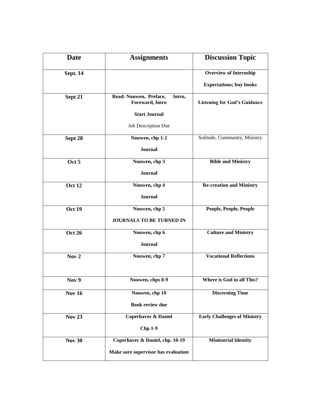| <b>Date</b>      | <b>Assignments</b>                                  | <b>Discussion Topic</b>             |
|------------------|-----------------------------------------------------|-------------------------------------|
| <b>Sept. 14</b>  |                                                     | <b>Overview of Internship</b>       |
|                  |                                                     | <b>Expectations; buy books</b>      |
| Sept 21          | Read: Nouwen, Preface,<br>Intro,<br>Foreward, Intro | <b>Listening for God's Guidance</b> |
|                  | <b>Start Journal</b>                                |                                     |
|                  | Job Description Due                                 |                                     |
| Sept 28          | Nouwen, chp 1-2                                     | Solitude, Community, Ministry       |
|                  | Journal                                             |                                     |
| Oct 5            | Nouwen, chp 3                                       | <b>Bible and Ministry</b>           |
|                  | <b>Journal</b>                                      |                                     |
| <b>Oct 12</b>    | Nouwen, chp 4                                       | <b>Re-creation and Ministry</b>     |
|                  | <b>Journal</b>                                      |                                     |
| <b>Oct 19</b>    | Nouwen, chp 5                                       | People, People, People              |
|                  | JOURNALS TO BE TURNED IN                            |                                     |
| <b>Oct 26</b>    | Nouwen, chp 6                                       | <b>Culture and Ministry</b>         |
|                  | Journal                                             |                                     |
| Nov <sub>2</sub> | Nouwen, chp 7                                       | <b>Vocational Reflections</b>       |
|                  |                                                     |                                     |
| Nov 9            | Nouwen, chps 8-9                                    | Where is God in all This?           |
| <b>Nov 16</b>    | Nouwen, chp 10                                      | <b>Discerning Time</b>              |
|                  | <b>Book review due</b>                              |                                     |
| <b>Nov 23</b>    | <b>Coperhaver &amp; Daniel</b>                      | <b>Early Challenges of Ministry</b> |
|                  | <b>Chp 1-9</b>                                      |                                     |
| <b>Nov 30</b>    | Coperhaver & Daniel, chp. 10-19                     | <b>Ministerial Identity</b>         |
|                  | Make sure supervisor has evaluation                 |                                     |